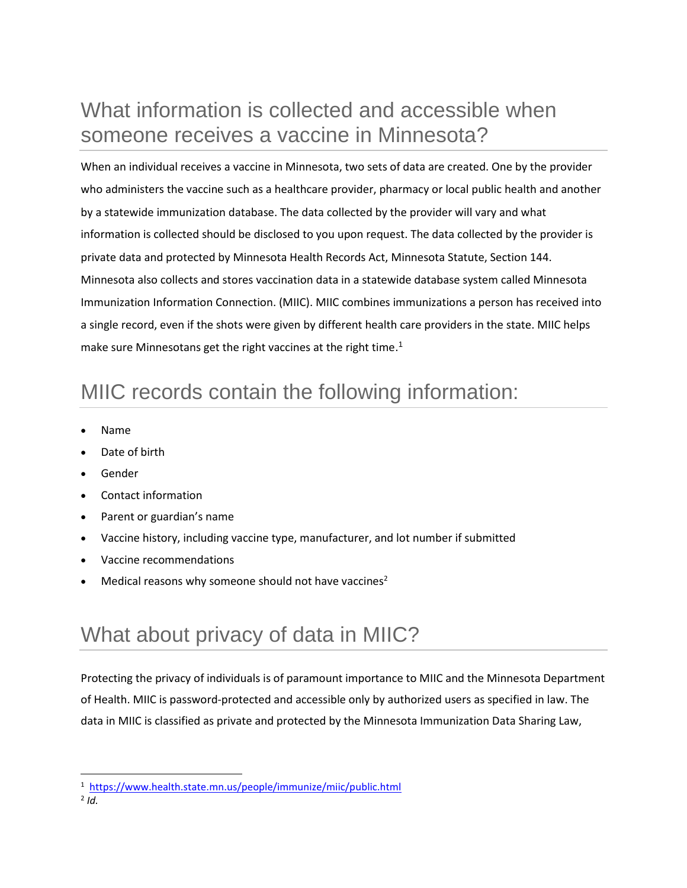## What information is collected and accessible when someone receives a vaccine in Minnesota?

When an individual receives a vaccine in Minnesota, two sets of data are created. One by the provider who administers the vaccine such as a healthcare provider, pharmacy or local public health and another by a statewide immunization database. The data collected by the provider will vary and what information is collected should be disclosed to you upon request. The data collected by the provider is private data and protected by Minnesota Health Records Act, Minnesota Statute, Section 144. Minnesota also collects and stores vaccination data in a statewide database system called Minnesota Immunization Information Connection. (MIIC). MIIC combines immunizations a person has received into a single record, even if the shots were given by different health care providers in the state. MIIC helps make sure Minnesotans get the right vaccines at the right time.<sup>1</sup>

## MIIC records contain the following information:

- Name
- Date of birth
- Gender
- Contact information
- Parent or guardian's name
- Vaccine history, including vaccine type, manufacturer, and lot number if submitted
- Vaccine recommendations
- Medical reasons why someone should not have vaccines<sup>2</sup>

## What about privacy of data in MIIC?

Protecting the privacy of individuals is of paramount importance to MIIC and the Minnesota Department of Health. MIIC is password-protected and accessible only by authorized users as specified in law. The data in MIIC is classified as private and protected by the Minnesota Immunization Data Sharing Law,

<sup>1</sup> <https://www.health.state.mn.us/people/immunize/miic/public.html>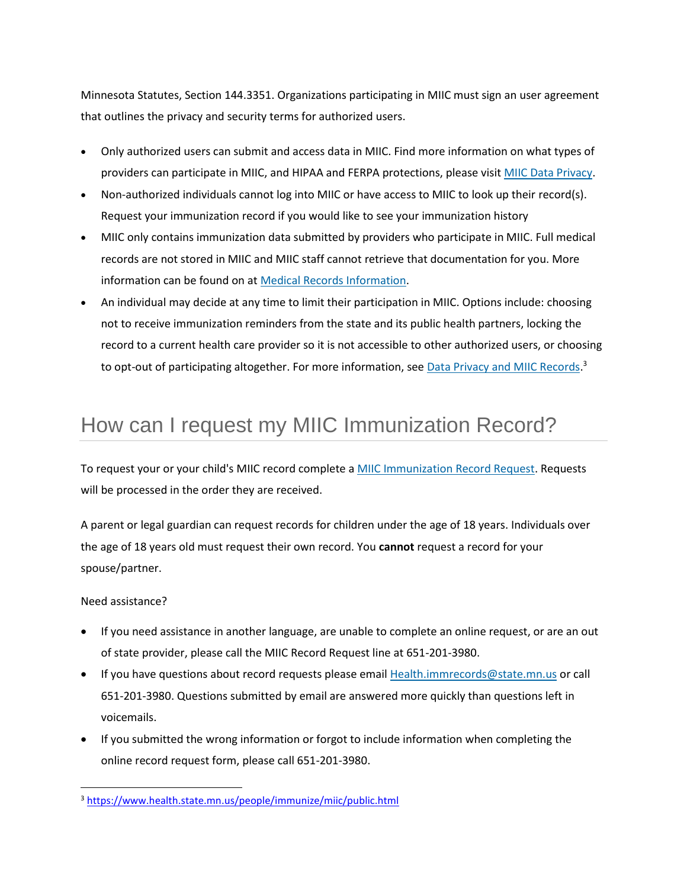Minnesota Statutes, Section 144.3351. Organizations participating in MIIC must sign an user agreement that outlines the privacy and security terms for authorized users.

- Only authorized users can submit and access data in MIIC. Find more information on what types of providers can participate in MIIC, and HIPAA and FERPA protections, please visit [MIIC Data Privacy.](https://www.health.state.mn.us/people/immunize/miic/privacy/index.html)
- Non-authorized individuals cannot log into MIIC or have access to MIIC to look up their record(s). Request your immunization record if you would like to see your immunization history
- MIIC only contains immunization data submitted by providers who participate in MIIC. Full medical records are not stored in MIIC and MIIC staff cannot retrieve that documentation for you. More information can be found on at [Medical Records Information.](https://www.health.state.mn.us/facilities/insurance/clearinghouse/medrecords.html)
- An individual may decide at any time to limit their participation in MIIC. Options include: choosing not to receive immunization reminders from the state and its public health partners, locking the record to a current health care provider so it is not accessible to other authorized users, or choosing to opt-out of participating altogether. For more information, see **[Data Privacy and MIIC Records.](https://www.health.state.mn.us/people/immunize/miic/privacy/dataprivacy.html)**<sup>3</sup>

# How can I request my MIIC Immunization Record?

To request your or your child's MIIC record complete a [MIIC Immunization Record Request.](https://redcap.health.state.mn.us/redcap/surveys/?s=FPMPPRFAWF) Requests will be processed in the order they are received.

A parent or legal guardian can request records for children under the age of 18 years. Individuals over the age of 18 years old must request their own record. You **cannot** request a record for your spouse/partner.

Need assistance?

- If you need assistance in another language, are unable to complete an online request, or are an out of state provider, please call the MIIC Record Request line at 651-201-3980.
- If you have questions about record requests please email [Health.immrecords@state.mn.us](mailto:Health.immrecords@state.mn.us) or call 651-201-3980. Questions submitted by email are answered more quickly than questions left in voicemails.
- If you submitted the wrong information or forgot to include information when completing the online record request form, please call 651-201-3980.

<sup>3</sup> <https://www.health.state.mn.us/people/immunize/miic/public.html>